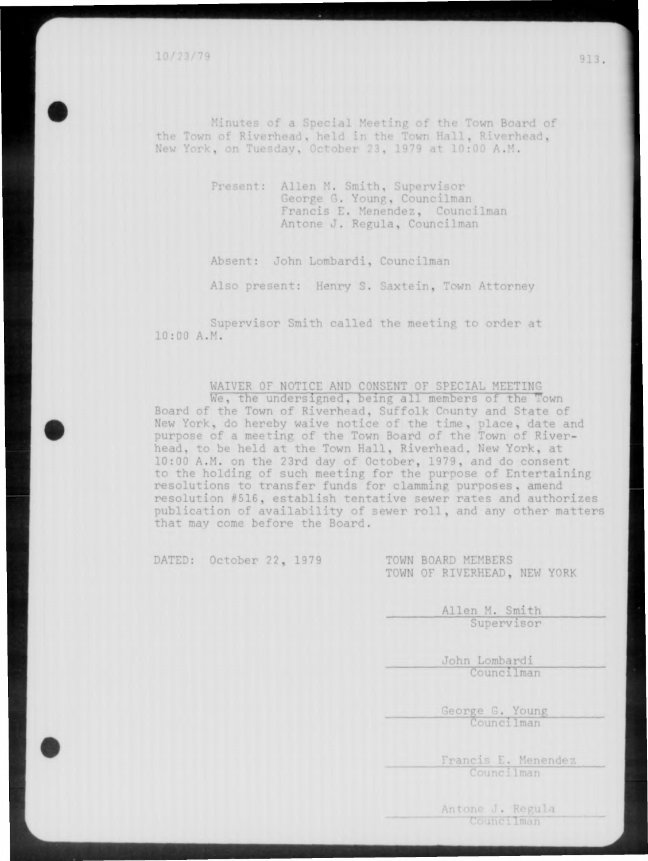10/23/79

Minutes of a Special Meeting of the Town Bo the Town of Riverhead, held in the Town Hall, Riverhead,<br>New York, on Tuesday, October 23, 1979 at 10:00 A.M.

> Present: Allen M. Smith, Supervisor George G. Young, Councilman Francis E. Menendez, Councilman **Antone** J. Regula, Councilman

Absent: John Lombardi, Councilman

Also present: Henry S. Saxtein, Town Attorney

Supervisor Smith called the meeting to order at 10:00 A.M.

WAIVER OF NOTICE AND CONSENT OF SPECIAL MEETING

We, the undersigned, being all members of the Town Board of the Town of Riverhead, Suffolk County and State of New York, do hereby waive notice of the time, place, date and purpose of a meeting of the Town Board of the Town of Riverhead, to be held at the Town Hall, Riverhead. New York, at 10:00 A.M. on the 23rd day of October, 1979, and do consent to the holding of such meeting for the purpose of Entertaining resolutions to transfer funds for clamming purposes, amend resolution #516, establish tentative sewer rates and authorizes publication of availability of sewer roll , and any other matters that mav come before the Board.

DATED: October 22, 1979 TOWN BOARD MEMBERS

TOWN OF RIVERHEAD, NEW YORK

Allen M. Smith Supervisor

> John Lombardi Councilman

George G. Young Councilman

Francis E. Menendez Councilman

Antone J. Regula Councilman

913.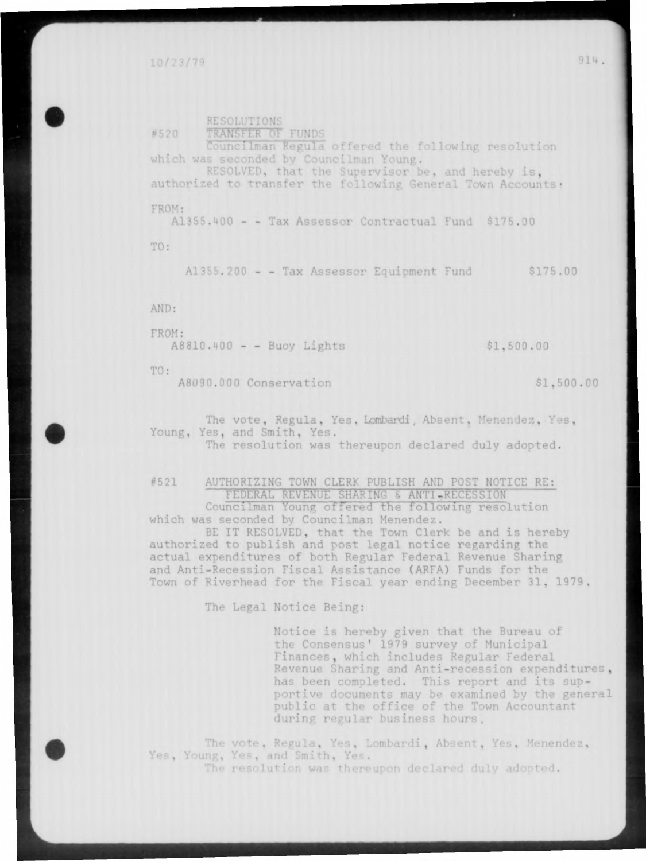TRANSFER OF FUNDS #520 Councilman Regula offered the following resolution which was seconded by Councilman Young. RESOLVED, that the Supervisor be, and hereby is, authorized to transfer the following General Town Accounts: FROM: A1355.400 - - Tax Assessor Contractual Fund \$175.00 TO: A1355.200 - - Tax Assessor Equipment Fund \$175.00 AND: FROM: A8810.400 - - Buoy Lights \$1,500.00

TO:

A8090.000 Conservation \$1,500.00

RESOLUTIONS

The vote, Regula, Yes, Lombardi, Absent, Menendez, Yes, Young, Yes, and Smith, Yes. The resolution was thereupon declared duly adopted.

#521 AUTHORIZING TOWN CLERK PUBLISH AND POST NOTICE RE: FEDERAL REVENUE SHARING & ANTI-RECESSION Councilman Young offered the following resolution which was seconded by Councilman Menendez.

BE IT RESOLVED, that the Town Clerk be and is hereby authorized to publish and post legal notice regarding the actual expenditures of both Regular Federal Revenue Sharing and Anti-Recession Fiscal Assistance (ARFA) Funds for the Town of Riverhead for the Fiscal year ending December 31, 1979,

The Legal Notice Being:

Notice is hereby given that the Bureau of the Consensus' 1979 survey of Municipal Finances, which includes Regular Federal Revenue Sharing and Anti-recession expenditures , has been completed. This report and its supportive documents may be examined by the general public at the office of the Town Accountant during regular business hours.

The vote, Regula, Yes, Lombardi, Absent, Yes, Menendez, Yes, Young, Yes, and Smith, Yes. The resolution was thereupon declared duly adopted.